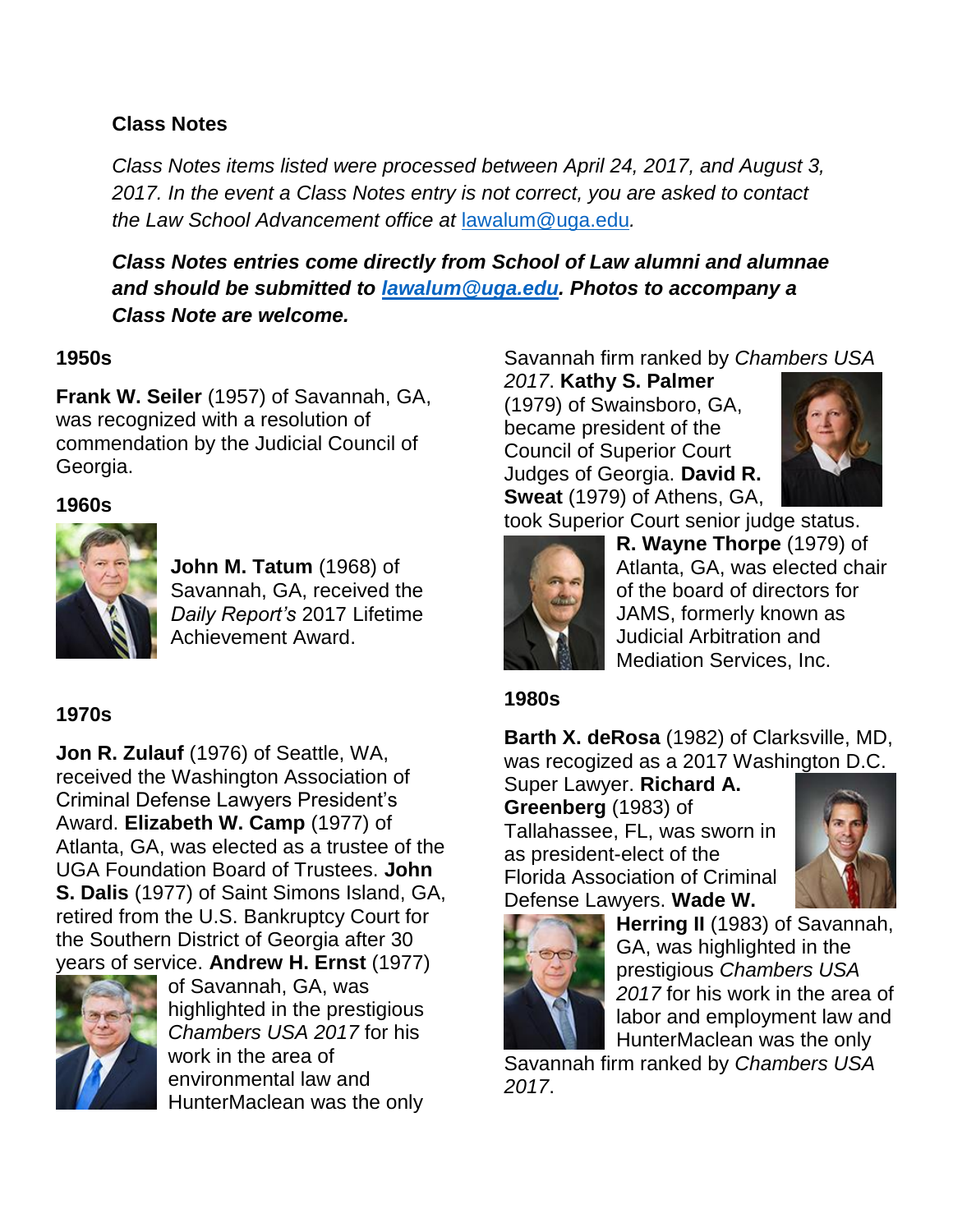## **Class Notes**

*Class Notes items listed were processed between April 24, 2017, and August 3, 2017. In the event a Class Notes entry is not correct, you are asked to contact the Law School Advancement office at* [lawalum@uga.edu](mailto:lawalum@uga.edu)*.*

*Class Notes entries come directly from School of Law alumni and alumnae and should be submitted to [lawalum@uga.edu.](mailto:lawalum@uga.edu) Photos to accompany a Class Note are welcome.*

## **1950s**

**Frank W. Seiler** (1957) of Savannah, GA, was recognized with a resolution of commendation by the Judicial Council of Georgia.

## **1960s**



**John M. Tatum** (1968) of Savannah, GA, received the *Daily Report's* 2017 Lifetime Achievement Award.

## **1970s**

**Jon R. Zulauf** (1976) of Seattle, WA, received the Washington Association of Criminal Defense Lawyers President's Award. **Elizabeth W. Camp** (1977) of Atlanta, GA, was elected as a trustee of the UGA Foundation Board of Trustees. **John S. Dalis** (1977) of Saint Simons Island, GA, retired from the U.S. Bankruptcy Court for the Southern District of Georgia after 30 years of service. **Andrew H. Ernst** (1977)



of Savannah, GA, was highlighted in the prestigious *Chambers USA 2017* for his work in the area of environmental law and HunterMaclean was the only Savannah firm ranked by *Chambers USA* 

*2017*. **Kathy S. Palmer** (1979) of Swainsboro, GA, became president of the Council of Superior Court Judges of Georgia. **David R. Sweat** (1979) of Athens, GA,



took Superior Court senior judge status.



**R. Wayne Thorpe** (1979) of Atlanta, GA, was elected chair of the board of directors for JAMS, formerly known as Judicial Arbitration and Mediation Services, Inc.

## **1980s**

**Barth X. deRosa** (1982) of Clarksville, MD, was recogized as a 2017 Washington D.C.

Super Lawyer. **Richard A. Greenberg** (1983) of Tallahassee, FL, was sworn in as president-elect of the Florida Association of Criminal Defense Lawyers. **Wade W.** 





**Herring II** (1983) of Savannah, GA, was highlighted in the prestigious *Chambers USA 2017* for his work in the area of labor and employment law and HunterMaclean was the only

Savannah firm ranked by *Chambers USA 2017*.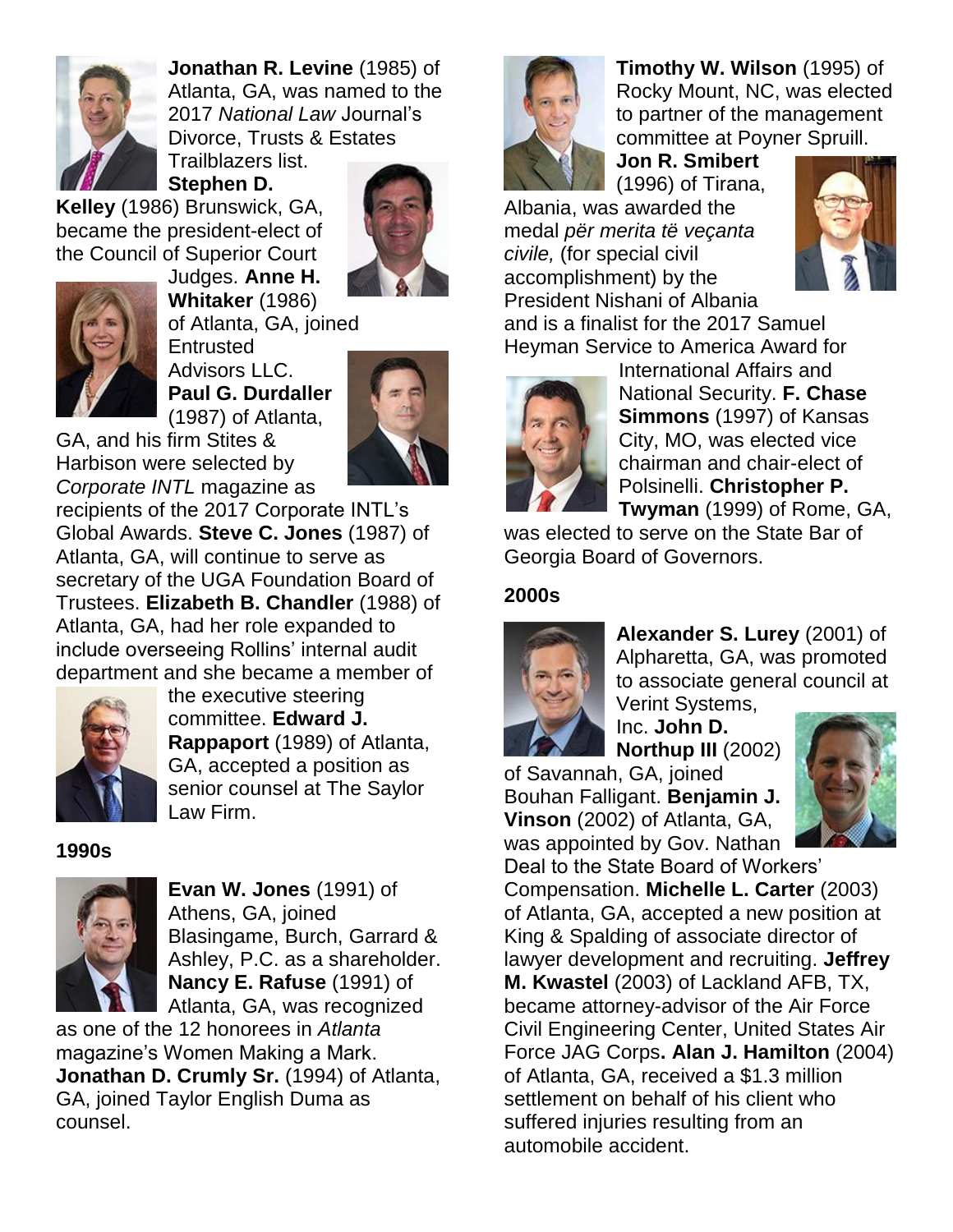

**Jonathan R. Levine** (1985) of Atlanta, GA, was named to the 2017 *National Law* Journal's Divorce, Trusts & Estates Trailblazers list.

**Stephen D.** 

**Kelley** (1986) Brunswick, GA, became the president-elect of the Council of Superior Court Judges. **Anne H.**





**Whitaker** (1986) of Atlanta, GA, joined **Entrusted** Advisors LLC. **Paul G. Durdaller** (1987) of Atlanta,



GA, and his firm Stites & Harbison were selected by *Corporate INTL* magazine as

recipients of the 2017 Corporate INTL's Global Awards. **Steve C. Jones** (1987) of Atlanta, GA, will continue to serve as secretary of the UGA Foundation Board of Trustees. **Elizabeth B. Chandler** (1988) of Atlanta, GA, had her role expanded to include overseeing Rollins' internal audit department and she became a member of



the executive steering committee. **Edward J. Rappaport** (1989) of Atlanta, GA, accepted a position as senior counsel at The Saylor Law Firm.

**1990s**



**Evan W. Jones** (1991) of Athens, GA, joined Blasingame, Burch, Garrard & Ashley, P.C. as a shareholder. **Nancy E. Rafuse** (1991) of Atlanta, GA, was recognized

as one of the 12 honorees in *Atlanta* magazine's Women Making a Mark. **Jonathan D. Crumly Sr.** (1994) of Atlanta, GA, joined Taylor English Duma as counsel.



**Timothy W. Wilson** (1995) of Rocky Mount, NC, was elected to partner of the management committee at Poyner Spruill.

**Jon R. Smibert** (1996) of Tirana,

Albania, was awarded the medal *për merita të veçanta civile,* (for special civil accomplishment) by the President Nishani of Albania



and is a finalist for the 2017 Samuel Heyman Service to America Award for



International Affairs and National Security. **F. Chase Simmons** (1997) of Kansas City, MO, was elected vice chairman and chair-elect of Polsinelli. **Christopher P. Twyman** (1999) of Rome, GA,

was elected to serve on the State Bar of Georgia Board of Governors.

## **2000s**



**Alexander S. Lurey** (2001) of Alpharetta, GA, was promoted to associate general council at Verint Systems,

Inc. **John D. Northup III** (2002)

of Savannah, GA, joined Bouhan Falligant. **Benjamin J. Vinson** (2002) of Atlanta, GA, was appointed by Gov. Nathan



Deal to the State Board of Workers' Compensation. **Michelle L. Carter** (2003) of Atlanta, GA, accepted a new position at King & Spalding of associate director of lawyer development and recruiting. **Jeffrey M. Kwastel** (2003) of Lackland AFB, TX, became attorney-advisor of the Air Force Civil Engineering Center, United States Air Force JAG Corps**. Alan J. Hamilton** (2004) of Atlanta, GA, received a \$1.3 million settlement on behalf of his client who suffered injuries resulting from an automobile accident.